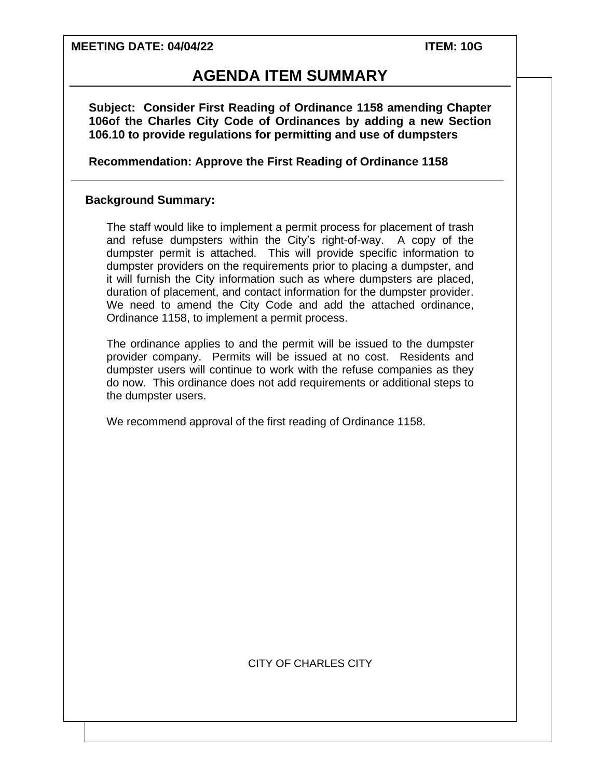#### **MEETING DATE: 04/04/22 ITEM: 10G**

## **AGENDA ITEM SUMMARY**

**Subject: Consider First Reading of Ordinance 1158 amending Chapter 106of the Charles City Code of Ordinances by adding a new Section 106.10 to provide regulations for permitting and use of dumpsters**

**\_\_\_\_\_\_\_\_\_\_\_\_\_\_\_\_\_\_\_\_\_\_\_\_\_\_\_\_\_\_\_\_\_\_\_\_\_\_\_\_\_\_\_\_\_\_\_\_\_\_\_\_\_\_\_\_\_\_\_\_\_\_\_\_\_\_**

**Recommendation: Approve the First Reading of Ordinance 1158**

#### **Background Summary:**

The staff would like to implement a permit process for placement of trash and refuse dumpsters within the City's right-of-way. A copy of the dumpster permit is attached. This will provide specific information to dumpster providers on the requirements prior to placing a dumpster, and it will furnish the City information such as where dumpsters are placed, duration of placement, and contact information for the dumpster provider. We need to amend the City Code and add the attached ordinance, Ordinance 1158, to implement a permit process.

The ordinance applies to and the permit will be issued to the dumpster provider company. Permits will be issued at no cost. Residents and dumpster users will continue to work with the refuse companies as they do now. This ordinance does not add requirements or additional steps to the dumpster users.

We recommend approval of the first reading of Ordinance 1158.

#### CITY OF CHARLES CITY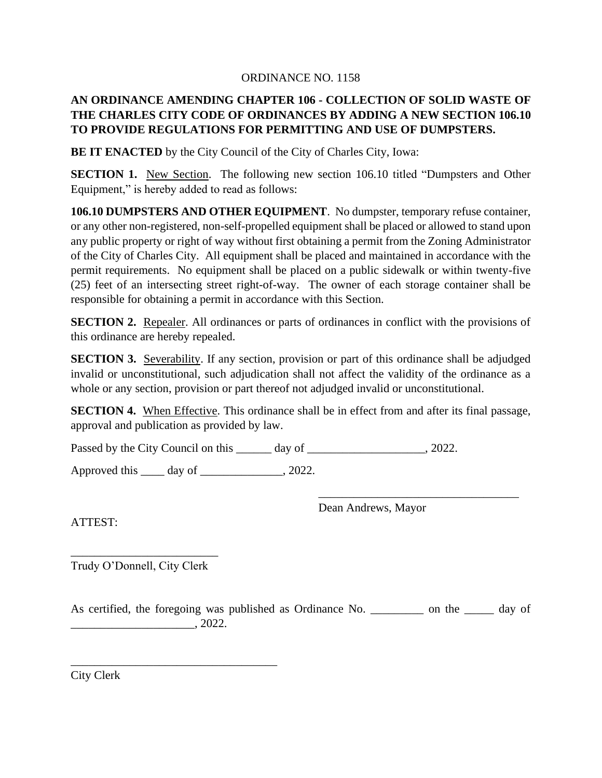#### ORDINANCE NO. 1158

## **AN ORDINANCE AMENDING CHAPTER 106 - COLLECTION OF SOLID WASTE OF THE CHARLES CITY CODE OF ORDINANCES BY ADDING A NEW SECTION 106.10 TO PROVIDE REGULATIONS FOR PERMITTING AND USE OF DUMPSTERS.**

**BE IT ENACTED** by the City Council of the City of Charles City, Iowa:

**SECTION 1.** New Section. The following new section 106.10 titled "Dumpsters and Other Equipment," is hereby added to read as follows:

**106.10 DUMPSTERS AND OTHER EQUIPMENT**. No dumpster, temporary refuse container, or any other non-registered, non-self-propelled equipment shall be placed or allowed to stand upon any public property or right of way without first obtaining a permit from the Zoning Administrator of the City of Charles City. All equipment shall be placed and maintained in accordance with the permit requirements. No equipment shall be placed on a public sidewalk or within twenty-five (25) feet of an intersecting street right-of-way. The owner of each storage container shall be responsible for obtaining a permit in accordance with this Section.

**SECTION 2.** Repealer. All ordinances or parts of ordinances in conflict with the provisions of this ordinance are hereby repealed.

**SECTION 3.** Severability. If any section, provision or part of this ordinance shall be adjudged invalid or unconstitutional, such adjudication shall not affect the validity of the ordinance as a whole or any section, provision or part thereof not adjudged invalid or unconstitutional.

**SECTION 4.** When Effective. This ordinance shall be in effect from and after its final passage, approval and publication as provided by law.

Passed by the City Council on this day of the case of the council on this day of the case of  $\alpha$ .

Approved this  $\_\_\_\_\$  day of  $\_\_\_\_\_\_\_\$ , 2022.

Dean Andrews, Mayor

\_\_\_\_\_\_\_\_\_\_\_\_\_\_\_\_\_\_\_\_\_\_\_\_\_\_\_\_\_\_\_\_\_\_

ATTEST:

\_\_\_\_\_\_\_\_\_\_\_\_\_\_\_\_\_\_\_\_\_\_\_\_\_ Trudy O'Donnell, City Clerk

\_\_\_\_\_\_\_\_\_\_\_\_\_\_\_\_\_\_\_\_\_\_\_\_\_\_\_\_\_\_\_\_\_\_\_

As certified, the foregoing was published as Ordinance No. \_\_\_\_\_\_\_\_\_\_ on the \_\_\_\_\_\_ day of  $\frac{1}{2022}$ .

City Clerk